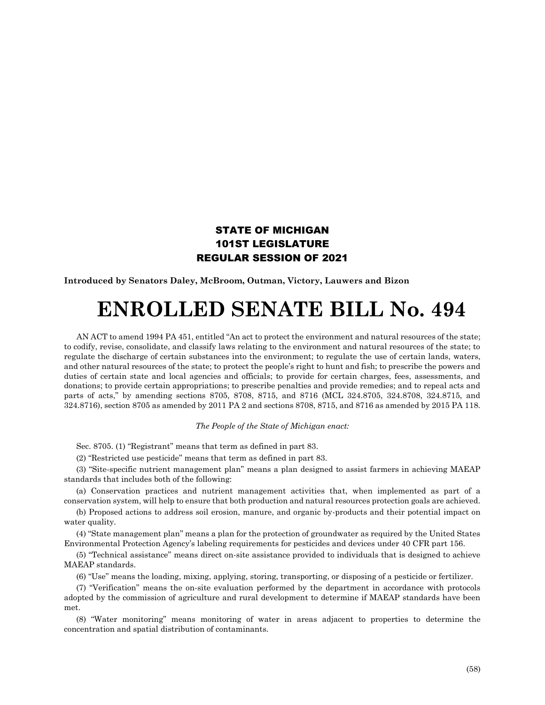## STATE OF MICHIGAN 101ST LEGISLATURE REGULAR SESSION OF 2021

**Introduced by Senators Daley, McBroom, Outman, Victory, Lauwers and Bizon**

## **ENROLLED SENATE BILL No. 494**

AN ACT to amend 1994 PA 451, entitled "An act to protect the environment and natural resources of the state; to codify, revise, consolidate, and classify laws relating to the environment and natural resources of the state; to regulate the discharge of certain substances into the environment; to regulate the use of certain lands, waters, and other natural resources of the state; to protect the people's right to hunt and fish; to prescribe the powers and duties of certain state and local agencies and officials; to provide for certain charges, fees, assessments, and donations; to provide certain appropriations; to prescribe penalties and provide remedies; and to repeal acts and parts of acts," by amending sections 8705, 8708, 8715, and 8716 (MCL 324.8705, 324.8708, 324.8715, and 324.8716), section 8705 as amended by 2011 PA 2 and sections 8708, 8715, and 8716 as amended by 2015 PA 118.

## *The People of the State of Michigan enact:*

Sec. 8705. (1) "Registrant" means that term as defined in part 83.

(2) "Restricted use pesticide" means that term as defined in part 83.

(3) "Site-specific nutrient management plan" means a plan designed to assist farmers in achieving MAEAP standards that includes both of the following:

(a) Conservation practices and nutrient management activities that, when implemented as part of a conservation system, will help to ensure that both production and natural resources protection goals are achieved.

(b) Proposed actions to address soil erosion, manure, and organic by-products and their potential impact on water quality.

(4) "State management plan" means a plan for the protection of groundwater as required by the United States Environmental Protection Agency's labeling requirements for pesticides and devices under 40 CFR part 156.

(5) "Technical assistance" means direct on-site assistance provided to individuals that is designed to achieve MAEAP standards.

(6) "Use" means the loading, mixing, applying, storing, transporting, or disposing of a pesticide or fertilizer.

(7) "Verification" means the on-site evaluation performed by the department in accordance with protocols adopted by the commission of agriculture and rural development to determine if MAEAP standards have been met.

(8) "Water monitoring" means monitoring of water in areas adjacent to properties to determine the concentration and spatial distribution of contaminants.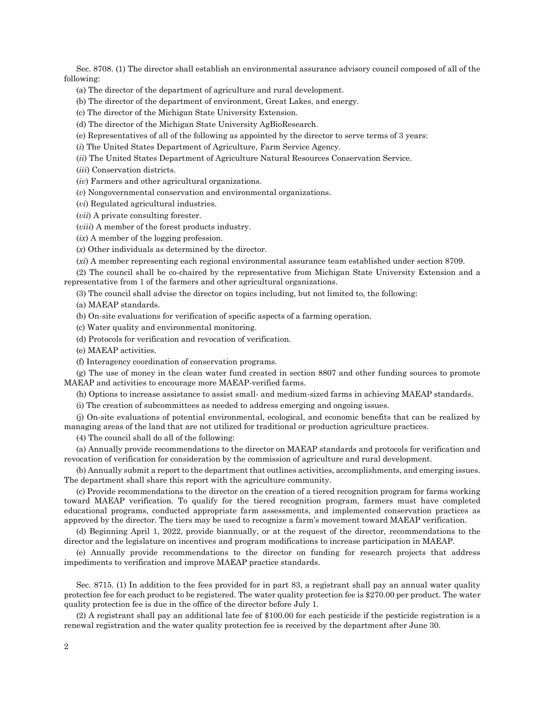Sec. 8708. (1) The director shall establish an environmental assurance advisory council composed of all of the following:

(a) The director of the department of agriculture and rural development.

(b) The director of the department of environment, Great Lakes, and energy.

(c) The director of the Michigan State University Extension.

(d) The director of the Michigan State University AgBioResearch.

(e) Representatives of all of the following as appointed by the director to serve terms of 3 years:

(*i*) The United States Department of Agriculture, Farm Service Agency.

(*ii*) The United States Department of Agriculture Natural Resources Conservation Service.

(*iii*) Conservation districts.

(*iv*) Farmers and other agricultural organizations.

(*v*) Nongovernmental conservation and environmental organizations.

(*vi*) Regulated agricultural industries.

(*vii*) A private consulting forester.

(*viii*) A member of the forest products industry.

(*ix*) A member of the logging profession.

(*x*) Other individuals as determined by the director.

(*xi*) A member representing each regional environmental assurance team established under section 8709.

(2) The council shall be co-chaired by the representative from Michigan State University Extension and a representative from 1 of the farmers and other agricultural organizations.

(3) The council shall advise the director on topics including, but not limited to, the following:

(a) MAEAP standards.

(b) On-site evaluations for verification of specific aspects of a farming operation.

(c) Water quality and environmental monitoring.

(d) Protocols for verification and revocation of verification.

(e) MAEAP activities.

(f) Interagency coordination of conservation programs.

(g) The use of money in the clean water fund created in section 8807 and other funding sources to promote MAEAP and activities to encourage more MAEAP-verified farms.

(h) Options to increase assistance to assist small- and medium-sized farms in achieving MAEAP standards.

(i) The creation of subcommittees as needed to address emerging and ongoing issues.

(j) On-site evaluations of potential environmental, ecological, and economic benefits that can be realized by managing areas of the land that are not utilized for traditional or production agriculture practices.

(4) The council shall do all of the following:

(a) Annually provide recommendations to the director on MAEAP standards and protocols for verification and revocation of verification for consideration by the commission of agriculture and rural development.

(b) Annually submit a report to the department that outlines activities, accomplishments, and emerging issues. The department shall share this report with the agriculture community.

(c) Provide recommendations to the director on the creation of a tiered recognition program for farms working toward MAEAP verification. To qualify for the tiered recognition program, farmers must have completed educational programs, conducted appropriate farm assessments, and implemented conservation practices as approved by the director. The tiers may be used to recognize a farm's movement toward MAEAP verification.

(d) Beginning April 1, 2022, provide biannually, or at the request of the director, recommendations to the director and the legislature on incentives and program modifications to increase participation in MAEAP.

(e) Annually provide recommendations to the director on funding for research projects that address impediments to verification and improve MAEAP practice standards.

Sec. 8715. (1) In addition to the fees provided for in part 83, a registrant shall pay an annual water quality protection fee for each product to be registered. The water quality protection fee is \$270.00 per product. The water quality protection fee is due in the office of the director before July 1.

(2) A registrant shall pay an additional late fee of \$100.00 for each pesticide if the pesticide registration is a renewal registration and the water quality protection fee is received by the department after June 30.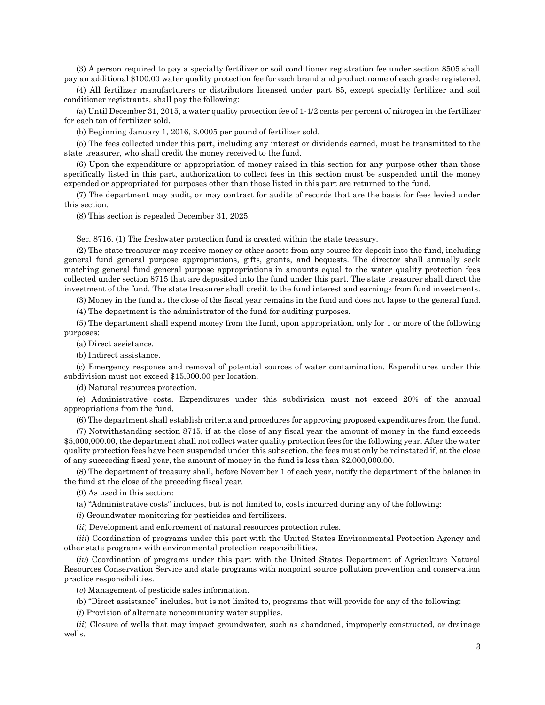(3) A person required to pay a specialty fertilizer or soil conditioner registration fee under section 8505 shall pay an additional \$100.00 water quality protection fee for each brand and product name of each grade registered.

(4) All fertilizer manufacturers or distributors licensed under part 85, except specialty fertilizer and soil conditioner registrants, shall pay the following:

(a) Until December 31, 2015, a water quality protection fee of 1-1/2 cents per percent of nitrogen in the fertilizer for each ton of fertilizer sold.

(b) Beginning January 1, 2016, \$.0005 per pound of fertilizer sold.

(5) The fees collected under this part, including any interest or dividends earned, must be transmitted to the state treasurer, who shall credit the money received to the fund.

(6) Upon the expenditure or appropriation of money raised in this section for any purpose other than those specifically listed in this part, authorization to collect fees in this section must be suspended until the money expended or appropriated for purposes other than those listed in this part are returned to the fund.

(7) The department may audit, or may contract for audits of records that are the basis for fees levied under this section.

(8) This section is repealed December 31, 2025.

Sec. 8716. (1) The freshwater protection fund is created within the state treasury.

(2) The state treasurer may receive money or other assets from any source for deposit into the fund, including general fund general purpose appropriations, gifts, grants, and bequests. The director shall annually seek matching general fund general purpose appropriations in amounts equal to the water quality protection fees collected under section 8715 that are deposited into the fund under this part. The state treasurer shall direct the investment of the fund. The state treasurer shall credit to the fund interest and earnings from fund investments.

(3) Money in the fund at the close of the fiscal year remains in the fund and does not lapse to the general fund.

(4) The department is the administrator of the fund for auditing purposes.

(5) The department shall expend money from the fund, upon appropriation, only for 1 or more of the following purposes:

(a) Direct assistance.

(b) Indirect assistance.

(c) Emergency response and removal of potential sources of water contamination. Expenditures under this subdivision must not exceed \$15,000.00 per location.

(d) Natural resources protection.

(e) Administrative costs. Expenditures under this subdivision must not exceed 20% of the annual appropriations from the fund.

(6) The department shall establish criteria and procedures for approving proposed expenditures from the fund.

(7) Notwithstanding section 8715, if at the close of any fiscal year the amount of money in the fund exceeds \$5,000,000.00, the department shall not collect water quality protection fees for the following year. After the water quality protection fees have been suspended under this subsection, the fees must only be reinstated if, at the close of any succeeding fiscal year, the amount of money in the fund is less than \$2,000,000.00.

(8) The department of treasury shall, before November 1 of each year, notify the department of the balance in the fund at the close of the preceding fiscal year.

(9) As used in this section:

(a) "Administrative costs" includes, but is not limited to, costs incurred during any of the following:

(*i*) Groundwater monitoring for pesticides and fertilizers.

(*ii*) Development and enforcement of natural resources protection rules.

(*iii*) Coordination of programs under this part with the United States Environmental Protection Agency and other state programs with environmental protection responsibilities.

(*iv*) Coordination of programs under this part with the United States Department of Agriculture Natural Resources Conservation Service and state programs with nonpoint source pollution prevention and conservation practice responsibilities.

(*v*) Management of pesticide sales information.

(b) "Direct assistance" includes, but is not limited to, programs that will provide for any of the following:

(*i*) Provision of alternate noncommunity water supplies.

(*ii*) Closure of wells that may impact groundwater, such as abandoned, improperly constructed, or drainage wells.